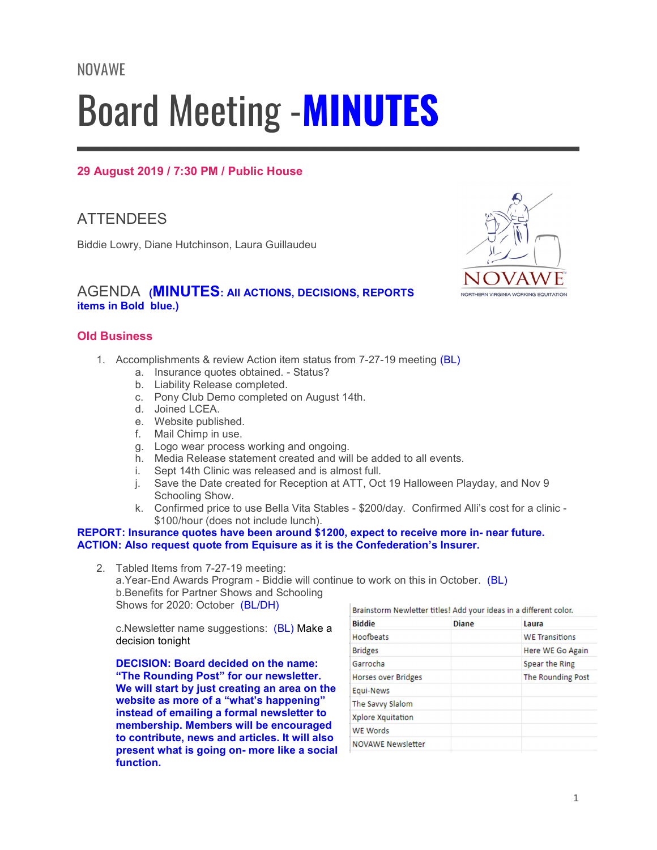# Board Meeting -MINUTES

# 29 August 2019 / 7:30 PM / Public House

# **ATTENDEES**

Biddie Lowry, Diane Hutchinson, Laura Guillaudeu

## AGENDA (MINUTES: AII ACTIONS, DECISIONS, REPORTS items in Bold blue.)

## Old Business

- 1. Accomplishments & review Action item status from 7-27-19 meeting (BL)
	- a. Insurance quotes obtained. Status?
	- b. Liability Release completed.
	- c. Pony Club Demo completed on August 14th.
	- d. Joined LCEA.
	- e. Website published.
	- f. Mail Chimp in use.
	- g. Logo wear process working and ongoing.
	- h. Media Release statement created and will be added to all events.
	- i. Sept 14th Clinic was released and is almost full.
	- j. Save the Date created for Reception at ATT, Oct 19 Halloween Playday, and Nov 9 Schooling Show.
	- k. Confirmed price to use Bella Vita Stables \$200/day. Confirmed Alli's cost for a clinic \$100/hour (does not include lunch).

#### REPORT: Insurance quotes have been around \$1200, expect to receive more in- near future. ACTION: Also request quote from Equisure as it is the Confederation's Insurer.

2. Tabled Items from 7-27-19 meeting:

a.Year-End Awards Program - Biddie will continue to work on this in October. (BL) b.Benefits for Partner Shows and Schooling Shows for 2020: October (BL/DH)

c.Newsletter name suggestions: (BL) Make a decision tonight

DECISION: Board decided on the name: "The Rounding Post" for our newsletter. We will start by just creating an area on the website as more of a "what's happening" instead of emailing a formal newsletter to membership. Members will be encouraged to contribute, news and articles. It will also present what is going on- more like a social function.

| Brainstorm Newletter titles! Add your ideas in a different color. |              |                       |
|-------------------------------------------------------------------|--------------|-----------------------|
| <b>Biddie</b>                                                     | <b>Diane</b> | Laura                 |
| Hoofbeats                                                         |              | <b>WE Transitions</b> |
| <b>Bridges</b>                                                    |              | Here WE Go Again      |
| Garrocha                                                          |              | Spear the Ring        |
| <b>Horses over Bridges</b>                                        |              | The Rounding Post     |
| Equi-News                                                         |              |                       |
| The Savvy Slalom                                                  |              |                       |
| Xplore Xquitation                                                 |              |                       |
| <b>WE Words</b>                                                   |              |                       |
| <b>NOVAWE Newsletter</b>                                          |              |                       |

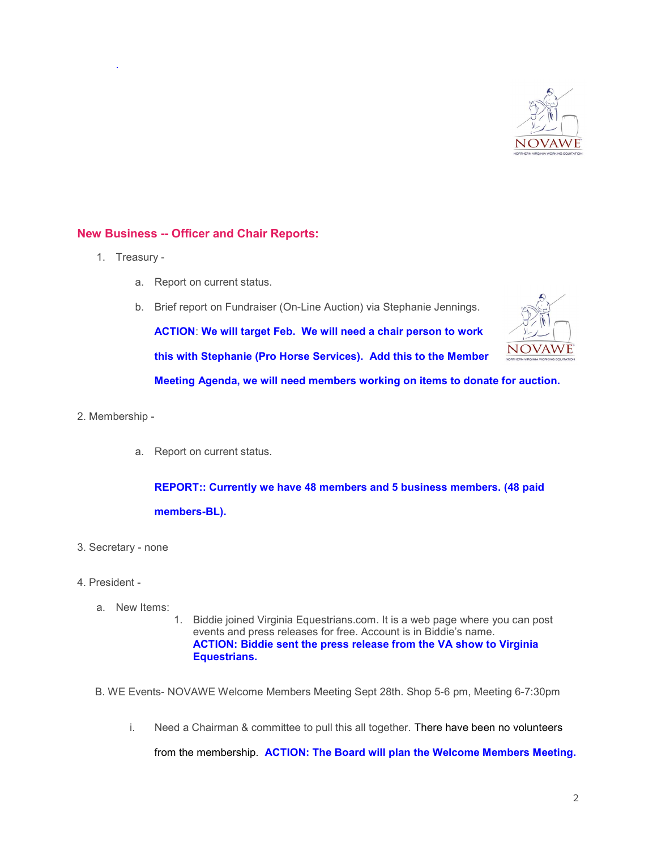

#### New Business -- Officer and Chair Reports:

1. Treasury -

.

- a. Report on current status.
- b. Brief report on Fundraiser (On-Line Auction) via Stephanie Jennings.

ACTION: We will target Feb. We will need a chair person to work this with Stephanie (Pro Horse Services). Add this to the Member



Meeting Agenda, we will need members working on items to donate for auction.

#### 2. Membership -

a. Report on current status.

REPORT:: Currently we have 48 members and 5 business members. (48 paid members-BL).

- 3. Secretary none
- 4. President
	- a. New Items:
		- 1. Biddie joined Virginia Equestrians.com. It is a web page where you can post events and press releases for free. Account is in Biddie's name. ACTION: Biddie sent the press release from the VA show to Virginia Equestrians.
	- B. WE Events- NOVAWE Welcome Members Meeting Sept 28th. Shop 5-6 pm, Meeting 6-7:30pm
		- i. Need a Chairman & committee to pull this all together. There have been no volunteers

from the membership. ACTION: The Board will plan the Welcome Members Meeting.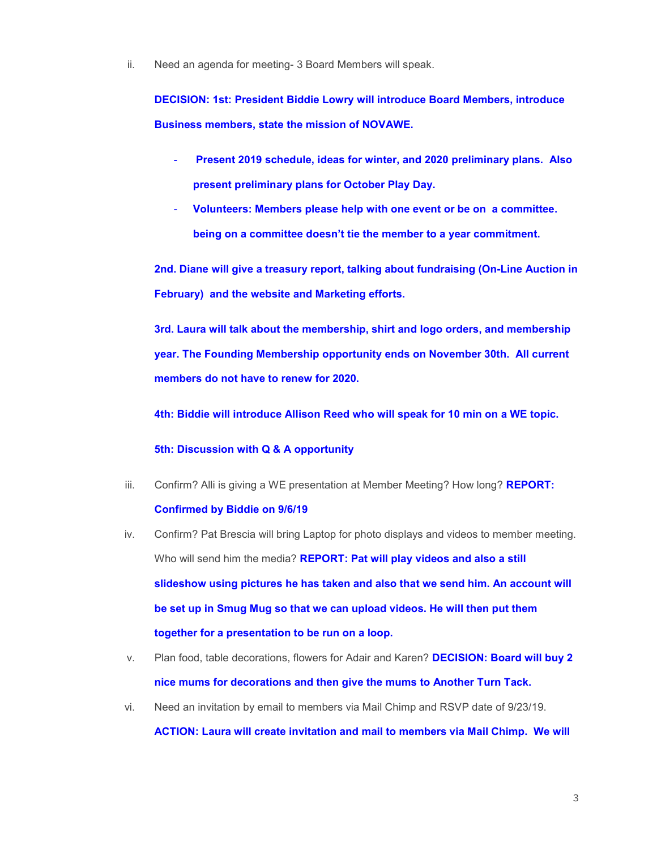ii. Need an agenda for meeting- 3 Board Members will speak.

DECISION: 1st: President Biddie Lowry will introduce Board Members, introduce Business members, state the mission of NOVAWE.

- Present 2019 schedule, ideas for winter, and 2020 preliminary plans. Also present preliminary plans for October Play Day.
- Volunteers: Members please help with one event or be on a committee. being on a committee doesn't tie the member to a year commitment.

2nd. Diane will give a treasury report, talking about fundraising (On-Line Auction in February) and the website and Marketing efforts.

3rd. Laura will talk about the membership, shirt and logo orders, and membership year. The Founding Membership opportunity ends on November 30th. All current members do not have to renew for 2020.

4th: Biddie will introduce Allison Reed who will speak for 10 min on a WE topic.

#### 5th: Discussion with Q & A opportunity

iii. Confirm? Alli is giving a WE presentation at Member Meeting? How long? **REPORT:** 

#### Confirmed by Biddie on 9/6/19

- iv. Confirm? Pat Brescia will bring Laptop for photo displays and videos to member meeting. Who will send him the media? **REPORT: Pat will play videos and also a still** slideshow using pictures he has taken and also that we send him. An account will be set up in Smug Mug so that we can upload videos. He will then put them together for a presentation to be run on a loop.
- v. Plan food, table decorations, flowers for Adair and Karen? **DECISION: Board will buy 2** nice mums for decorations and then give the mums to Another Turn Tack.
- vi. Need an invitation by email to members via Mail Chimp and RSVP date of 9/23/19.

ACTION: Laura will create invitation and mail to members via Mail Chimp. We will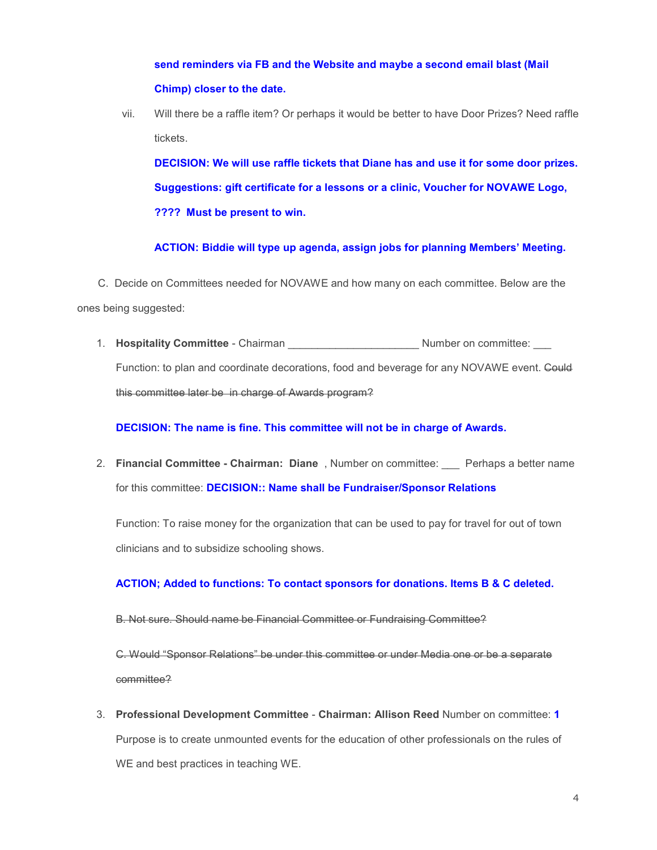send reminders via FB and the Website and maybe a second email blast (Mail Chimp) closer to the date.

vii. Will there be a raffle item? Or perhaps it would be better to have Door Prizes? Need raffle tickets.

DECISION: We will use raffle tickets that Diane has and use it for some door prizes. Suggestions: gift certificate for a lessons or a clinic, Voucher for NOVAWE Logo, ???? Must be present to win.

ACTION: Biddie will type up agenda, assign jobs for planning Members' Meeting.

 C. Decide on Committees needed for NOVAWE and how many on each committee. Below are the ones being suggested:

1. **Hospitality Committee** - Chairman **Number on committee:**  $\blacksquare$ Function: to plan and coordinate decorations, food and beverage for any NOVAWE event. Could this committee later be in charge of Awards program?

### DECISION: The name is fine. This committee will not be in charge of Awards.

2. Financial Committee - Chairman: Diane, Number on committee: Perhaps a better name for this committee: DECISION:: Name shall be Fundraiser/Sponsor Relations

Function: To raise money for the organization that can be used to pay for travel for out of town clinicians and to subsidize schooling shows.

## ACTION; Added to functions: To contact sponsors for donations. Items B & C deleted.

B. Not sure. Should name be Financial Committee or Fundraising Committee?

C. Would "Sponsor Relations" be under this committee or under Media one or be a separate committee?

3. Professional Development Committee - Chairman: Allison Reed Number on committee: 1 Purpose is to create unmounted events for the education of other professionals on the rules of WE and best practices in teaching WE.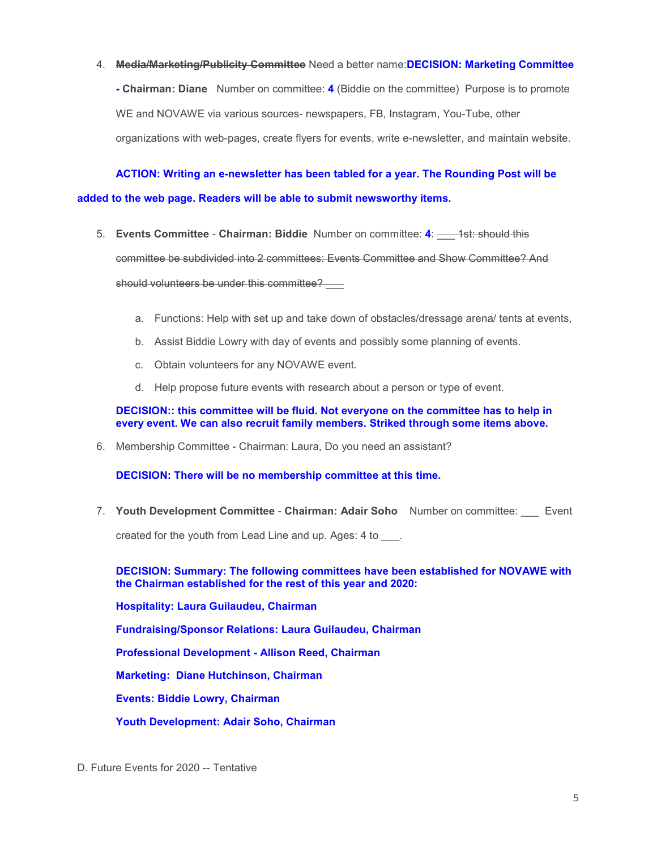4. Media/Marketing/Publicity Committee Need a better name: DECISION: Marketing Committee

- Chairman: Diane Number on committee: 4 (Biddie on the committee) Purpose is to promote WE and NOVAWE via various sources- newspapers, FB, Instagram, You-Tube, other organizations with web-pages, create flyers for events, write e-newsletter, and maintain website.

 ACTION: Writing an e-newsletter has been tabled for a year. The Rounding Post will be added to the web page. Readers will be able to submit newsworthy items.

- 5. Events Committee Chairman: Biddie Number on committee: 4: \_\_\_ 1st: should this committee be subdivided into 2 committees: Events Committee and Show Committee? And should volunteers be under this committee?
	- a. Functions: Help with set up and take down of obstacles/dressage arena/ tents at events,
	- b. Assist Biddie Lowry with day of events and possibly some planning of events.
	- c. Obtain volunteers for any NOVAWE event.
	- d. Help propose future events with research about a person or type of event.

DECISION:: this committee will be fluid. Not everyone on the committee has to help in every event. We can also recruit family members. Striked through some items above.

6. Membership Committee - Chairman: Laura, Do you need an assistant?

DECISION: There will be no membership committee at this time.

7. Youth Development Committee - Chairman: Adair Soho Number on committee: Event

created for the youth from Lead Line and up. Ages: 4 to \_\_\_.

DECISION: Summary: The following committees have been established for NOVAWE with the Chairman established for the rest of this year and 2020:

Hospitality: Laura Guilaudeu, Chairman

Fundraising/Sponsor Relations: Laura Guilaudeu, Chairman

Professional Development - Allison Reed, Chairman

Marketing: Diane Hutchinson, Chairman

Events: Biddie Lowry, Chairman

Youth Development: Adair Soho, Chairman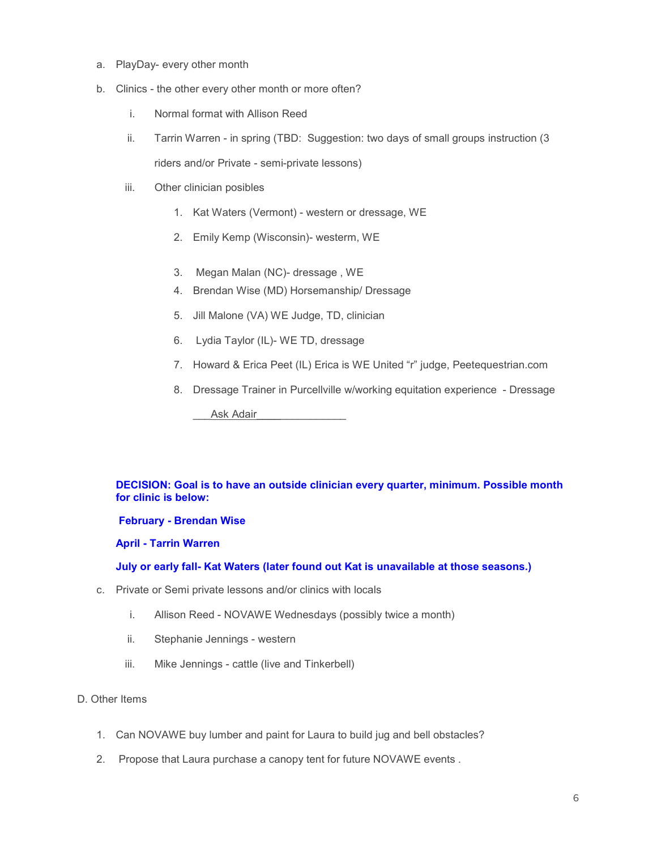- a. PlayDay- every other month
- b. Clinics the other every other month or more often?
	- i. Normal format with Allison Reed
	- ii. Tarrin Warren in spring (TBD: Suggestion: two days of small groups instruction (3 riders and/or Private - semi-private lessons)
	- iii. Other clinician posibles
		- 1. Kat Waters (Vermont) western or dressage, WE
		- 2. Emily Kemp (Wisconsin)- westerm, WE
		- 3. Megan Malan (NC)- dressage , WE
		- 4. Brendan Wise (MD) Horsemanship/ Dressage
		- 5. Jill Malone (VA) WE Judge, TD, clinician
		- 6. Lydia Taylor (IL)- WE TD, dressage
		- 7. Howard & Erica Peet (IL) Erica is WE United "r" judge, Peetequestrian.com
		- 8. Dressage Trainer in Purcellville w/working equitation experience Dressage

Ask Adair

#### DECISION: Goal is to have an outside clinician every quarter, minimum. Possible month for clinic is below:

February - Brendan Wise

April - Tarrin Warren

July or early fall- Kat Waters (later found out Kat is unavailable at those seasons.)

- c. Private or Semi private lessons and/or clinics with locals
	- i. Allison Reed NOVAWE Wednesdays (possibly twice a month)
	- ii. Stephanie Jennings western
	- iii. Mike Jennings cattle (live and Tinkerbell)

#### D. Other Items

- 1. Can NOVAWE buy lumber and paint for Laura to build jug and bell obstacles?
- 2. Propose that Laura purchase a canopy tent for future NOVAWE events .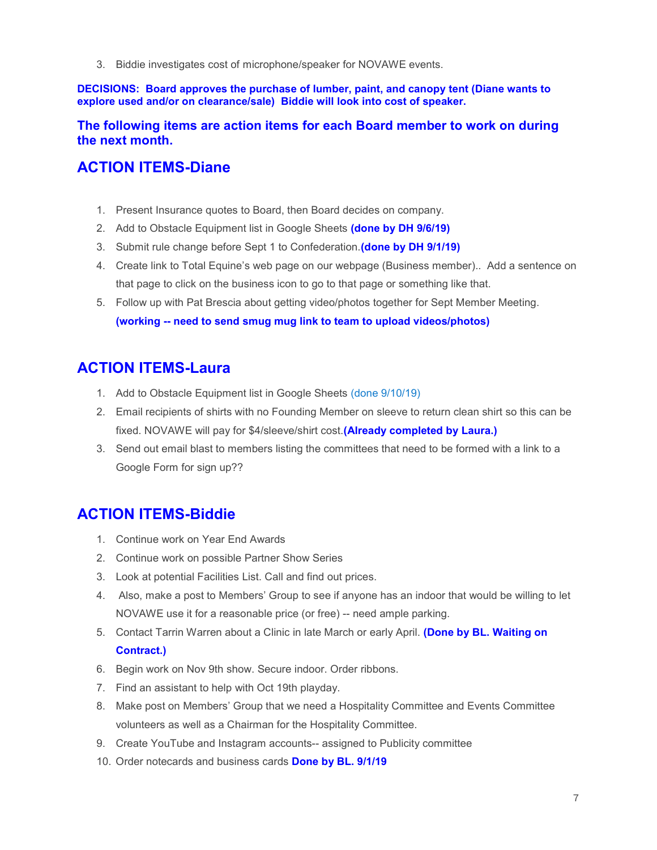3. Biddie investigates cost of microphone/speaker for NOVAWE events.

DECISIONS: Board approves the purchase of lumber, paint, and canopy tent (Diane wants to explore used and/or on clearance/sale) Biddie will look into cost of speaker.

## The following items are action items for each Board member to work on during the next month.

# ACTION ITEMS-Diane

- 1. Present Insurance quotes to Board, then Board decides on company.
- 2. Add to Obstacle Equipment list in Google Sheets (done by DH 9/6/19)
- 3. Submit rule change before Sept 1 to Confederation. (done by DH 9/1/19)
- 4. Create link to Total Equine's web page on our webpage (Business member).. Add a sentence on that page to click on the business icon to go to that page or something like that.
- 5. Follow up with Pat Brescia about getting video/photos together for Sept Member Meeting. (working -- need to send smug mug link to team to upload videos/photos)

# ACTION ITEMS-Laura

- 1. Add to Obstacle Equipment list in Google Sheets (done 9/10/19)
- 2. Email recipients of shirts with no Founding Member on sleeve to return clean shirt so this can be fixed. NOVAWE will pay for \$4/sleeve/shirt cost. (Already completed by Laura.)
- 3. Send out email blast to members listing the committees that need to be formed with a link to a Google Form for sign up??

# ACTION ITEMS-Biddie

- 1. Continue work on Year End Awards
- 2. Continue work on possible Partner Show Series
- 3. Look at potential Facilities List. Call and find out prices.
- 4. Also, make a post to Members' Group to see if anyone has an indoor that would be willing to let NOVAWE use it for a reasonable price (or free) -- need ample parking.
- 5. Contact Tarrin Warren about a Clinic in late March or early April. (Done by BL. Waiting on Contract.)
- 6. Begin work on Nov 9th show. Secure indoor. Order ribbons.
- 7. Find an assistant to help with Oct 19th playday.
- 8. Make post on Members' Group that we need a Hospitality Committee and Events Committee volunteers as well as a Chairman for the Hospitality Committee.
- 9. Create YouTube and Instagram accounts-- assigned to Publicity committee
- 10. Order notecards and business cards **Done by BL. 9/1/19**